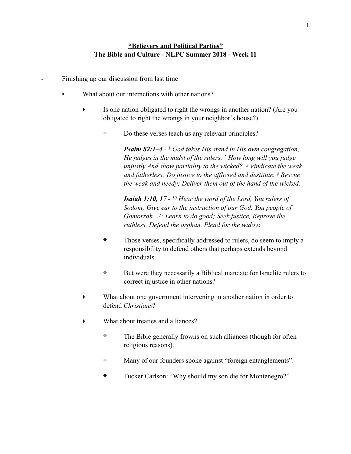## **"Believers and Political Parties" The Bible and Culture - NLPC Summer 2018 - Week 11**

- Finishing up our discussion from last time
	- What about our interactions with other nations?
		- ‣ Is one nation obligated to right the wrongs in another nation? (Are you obligated to right the wrongs in your neighbor's house?)
			- ❖ Do these verses teach us any relevant principles?

*Psalm 82:1–4 - 1 God takes His stand in His own congregation; He judges in the midst of the rulers. 2 How long will you judge unjustly And show partiality to the wicked? 3 Vindicate the weak and fatherless; Do justice to the afflicted and destitute. 4 Rescue the weak and needy; Deliver them out of the hand of the wicked. -* 

*Isaiah 1:10, 17 - 10 Hear the word of the Lord, You rulers of Sodom; Give ear to the instruction of our God, You people of Gomorrah…17 Learn to do good; Seek justice, Reprove the ruthless, Defend the orphan, Plead for the widow.* 

- ❖ Those verses, specifically addressed to rulers, do seem to imply a responsibility to defend others that perhaps extends beyond individuals.
- ❖ But were they necessarily a Biblical mandate for Israelite rulers to correct injustice in other nations?
- ‣ What about one government intervening in another nation in order to defend *Christians*?
- ‣ What about treaties and alliances?
	- ❖ The Bible generally frowns on such alliances (though for often religious reasons).
	- ❖ Many of our founders spoke against "foreign entanglements".
	- ❖ Tucker Carlson: "Why should my son die for Montenegro?"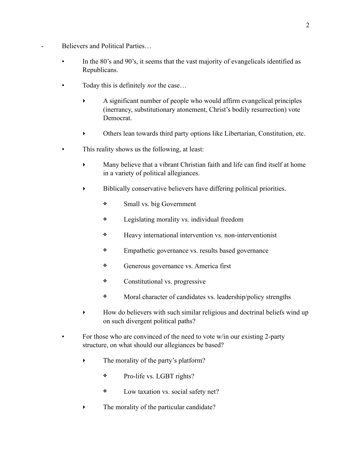- Believers and Political Parties...
	- In the 80's and 90's, it seems that the vast majority of evangelicals identified as Republicans.
	- Today this is definitely *not* the case…
		- ‣ A significant number of people who would affirm evangelical principles (inerrancy, substitutionary atonement, Christ's bodily resurrection) vote Democrat.
		- ‣ Others lean towards third party options like Libertarian, Constitution, etc.
	- This reality shows us the following, at least:
		- ‣ Many believe that a vibrant Christian faith and life can find itself at home in a variety of political allegiances.
		- ‣ Biblically conservative believers have differing political priorities.
			- ❖ Small vs. big Government
			- ❖ Legislating morality vs. individual freedom
			- ❖ Heavy international intervention vs. non-interventionist
			- ❖ Empathetic governance vs. results based governance
			- ❖ Generous governance vs. America first
			- ❖ Constitutional vs. progressive
			- ❖ Moral character of candidates vs. leadership/policy strengths
		- ‣ How do believers with such similar religious and doctrinal beliefs wind up on such divergent political paths?
	- For those who are convinced of the need to vote w/in our existing 2-party structure, on what should our allegiances be based?
		- The morality of the party's platform?
			- ❖ Pro-life vs. LGBT rights?
			- ❖ Low taxation vs. social safety net?
		- $\blacktriangleright$  The morality of the particular candidate?